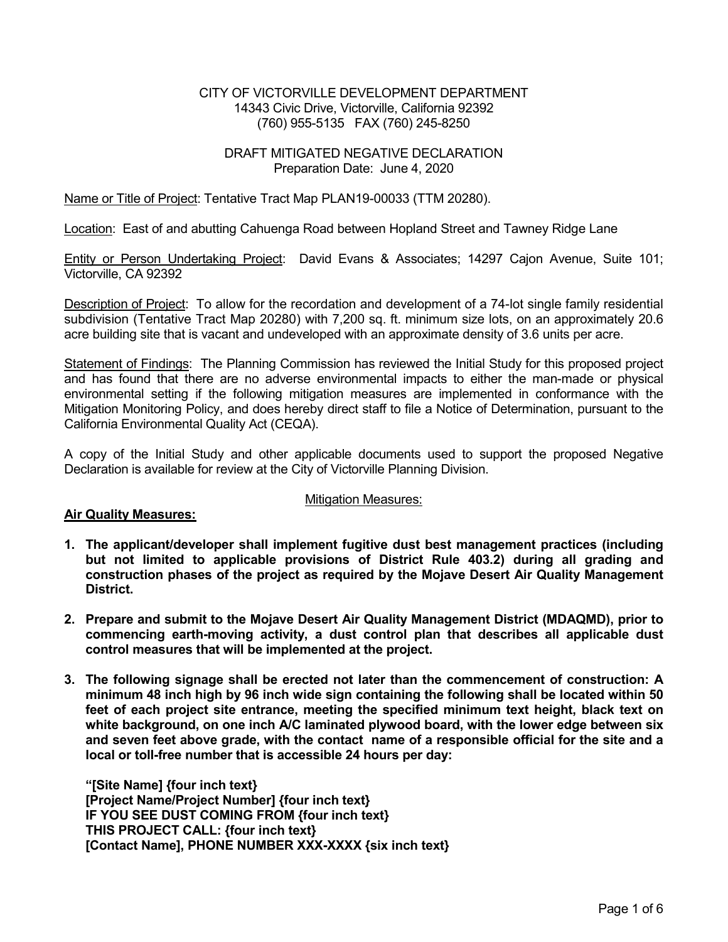### CITY OF VICTORVILLE DEVELOPMENT DEPARTMENT 14343 Civic Drive, Victorville, California 92392 (760) 955-5135 FAX (760) 245-8250

## DRAFT MITIGATED NEGATIVE DECLARATION Preparation Date: June 4, 2020

## Name or Title of Project: Tentative Tract Map PLAN19-00033 (TTM 20280).

Location: East of and abutting Cahuenga Road between Hopland Street and Tawney Ridge Lane

Entity or Person Undertaking Project: David Evans & Associates; 14297 Cajon Avenue, Suite 101; Victorville, CA 92392

Description of Project: To allow for the recordation and development of a 74-lot single family residential subdivision (Tentative Tract Map 20280) with 7,200 sq. ft. minimum size lots, on an approximately 20.6 acre building site that is vacant and undeveloped with an approximate density of 3.6 units per acre.

Statement of Findings: The Planning Commission has reviewed the Initial Study for this proposed project and has found that there are no adverse environmental impacts to either the man-made or physical environmental setting if the following mitigation measures are implemented in conformance with the Mitigation Monitoring Policy, and does hereby direct staff to file a Notice of Determination, pursuant to the California Environmental Quality Act (CEQA).

A copy of the Initial Study and other applicable documents used to support the proposed Negative Declaration is available for review at the City of Victorville Planning Division.

### Mitigation Measures:

### **Air Quality Measures:**

- **1. The applicant/developer shall implement fugitive dust best management practices (including but not limited to applicable provisions of District Rule 403.2) during all grading and construction phases of the project as required by the Mojave Desert Air Quality Management District.**
- **2. Prepare and submit to the Mojave Desert Air Quality Management District (MDAQMD), prior to commencing earth-moving activity, a dust control plan that describes all applicable dust control measures that will be implemented at the project.**
- **3. The following signage shall be erected not later than the commencement of construction: A minimum 48 inch high by 96 inch wide sign containing the following shall be located within 50 feet of each project site entrance, meeting the specified minimum text height, black text on white background, on one inch A/C laminated plywood board, with the lower edge between six and seven feet above grade, with the contact name of a responsible official for the site and a local or toll-free number that is accessible 24 hours per day:**

**"[Site Name] {four inch text} [Project Name/Project Number] {four inch text} IF YOU SEE DUST COMING FROM {four inch text} THIS PROJECT CALL: {four inch text} [Contact Name], PHONE NUMBER XXX-XXXX {six inch text}**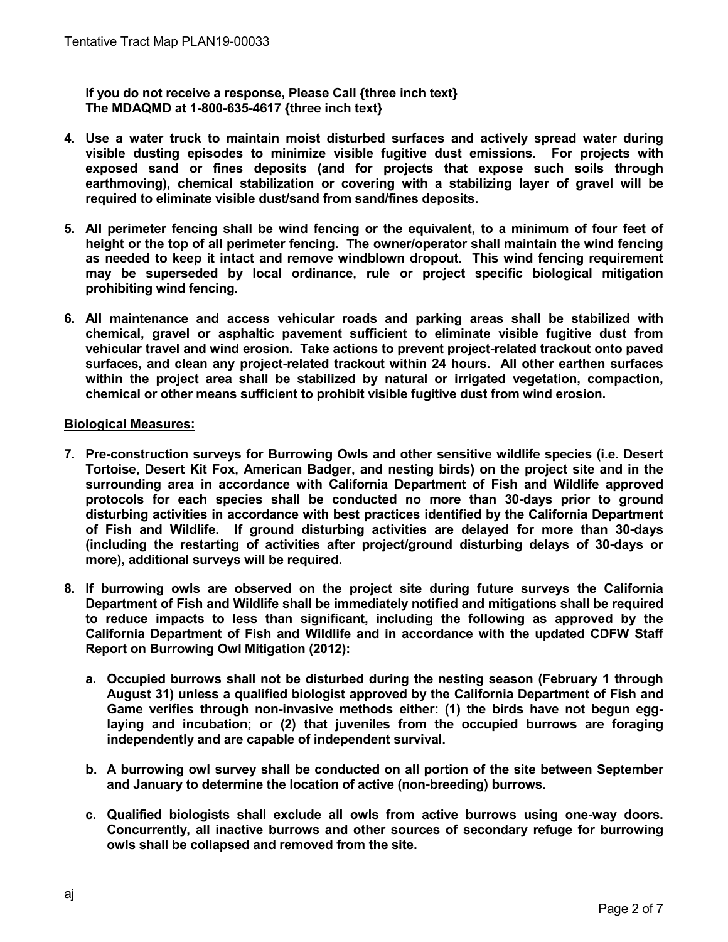**If you do not receive a response, Please Call {three inch text} The MDAQMD at 1-800-635-4617 {three inch text}** 

- **4. Use a water truck to maintain moist disturbed surfaces and actively spread water during visible dusting episodes to minimize visible fugitive dust emissions. For projects with exposed sand or fines deposits (and for projects that expose such soils through earthmoving), chemical stabilization or covering with a stabilizing layer of gravel will be required to eliminate visible dust/sand from sand/fines deposits.**
- **5. All perimeter fencing shall be wind fencing or the equivalent, to a minimum of four feet of height or the top of all perimeter fencing. The owner/operator shall maintain the wind fencing as needed to keep it intact and remove windblown dropout. This wind fencing requirement may be superseded by local ordinance, rule or project specific biological mitigation prohibiting wind fencing.**
- **6. All maintenance and access vehicular roads and parking areas shall be stabilized with chemical, gravel or asphaltic pavement sufficient to eliminate visible fugitive dust from vehicular travel and wind erosion. Take actions to prevent project-related trackout onto paved surfaces, and clean any project-related trackout within 24 hours. All other earthen surfaces within the project area shall be stabilized by natural or irrigated vegetation, compaction, chemical or other means sufficient to prohibit visible fugitive dust from wind erosion.**

# **Biological Measures:**

- **7. Pre-construction surveys for Burrowing Owls and other sensitive wildlife species (i.e. Desert Tortoise, Desert Kit Fox, American Badger, and nesting birds) on the project site and in the surrounding area in accordance with California Department of Fish and Wildlife approved protocols for each species shall be conducted no more than 30-days prior to ground disturbing activities in accordance with best practices identified by the California Department of Fish and Wildlife. If ground disturbing activities are delayed for more than 30-days (including the restarting of activities after project/ground disturbing delays of 30-days or more), additional surveys will be required.**
- **8. If burrowing owls are observed on the project site during future surveys the California Department of Fish and Wildlife shall be immediately notified and mitigations shall be required to reduce impacts to less than significant, including the following as approved by the California Department of Fish and Wildlife and in accordance with the updated CDFW Staff Report on Burrowing Owl Mitigation (2012):** 
	- **a. Occupied burrows shall not be disturbed during the nesting season (February 1 through August 31) unless a qualified biologist approved by the California Department of Fish and Game verifies through non-invasive methods either: (1) the birds have not begun egglaying and incubation; or (2) that juveniles from the occupied burrows are foraging independently and are capable of independent survival.**
	- **b. A burrowing owl survey shall be conducted on all portion of the site between September and January to determine the location of active (non-breeding) burrows.**
	- **c. Qualified biologists shall exclude all owls from active burrows using one-way doors. Concurrently, all inactive burrows and other sources of secondary refuge for burrowing owls shall be collapsed and removed from the site.**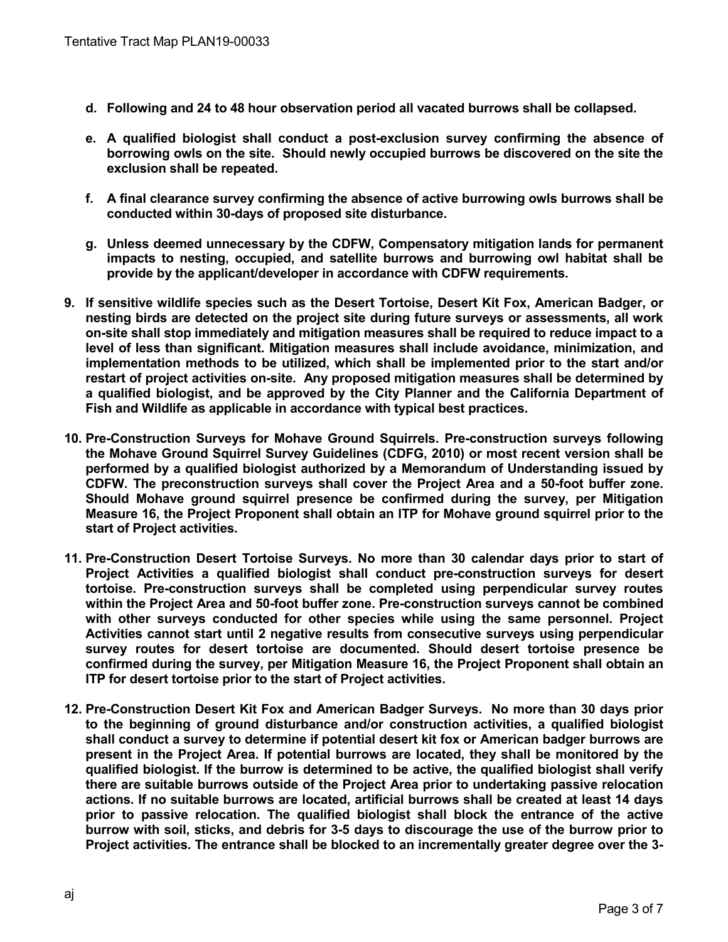- **d. Following and 24 to 48 hour observation period all vacated burrows shall be collapsed.**
- **e. A qualified biologist shall conduct a post-exclusion survey confirming the absence of borrowing owls on the site. Should newly occupied burrows be discovered on the site the exclusion shall be repeated.**
- **f. A final clearance survey confirming the absence of active burrowing owls burrows shall be conducted within 30-days of proposed site disturbance.**
- **g. Unless deemed unnecessary by the CDFW, Compensatory mitigation lands for permanent impacts to nesting, occupied, and satellite burrows and burrowing owl habitat shall be provide by the applicant/developer in accordance with CDFW requirements.**
- **9. If sensitive wildlife species such as the Desert Tortoise, Desert Kit Fox, American Badger, or nesting birds are detected on the project site during future surveys or assessments, all work on-site shall stop immediately and mitigation measures shall be required to reduce impact to a level of less than significant. Mitigation measures shall include avoidance, minimization, and implementation methods to be utilized, which shall be implemented prior to the start and/or restart of project activities on-site. Any proposed mitigation measures shall be determined by a qualified biologist, and be approved by the City Planner and the California Department of Fish and Wildlife as applicable in accordance with typical best practices.**
- **10. Pre-Construction Surveys for Mohave Ground Squirrels. Pre-construction surveys following the Mohave Ground Squirrel Survey Guidelines (CDFG, 2010) or most recent version shall be performed by a qualified biologist authorized by a Memorandum of Understanding issued by CDFW. The preconstruction surveys shall cover the Project Area and a 50-foot buffer zone. Should Mohave ground squirrel presence be confirmed during the survey, per Mitigation Measure 16, the Project Proponent shall obtain an ITP for Mohave ground squirrel prior to the start of Project activities.**
- **11. Pre-Construction Desert Tortoise Surveys. No more than 30 calendar days prior to start of Project Activities a qualified biologist shall conduct pre-construction surveys for desert tortoise. Pre-construction surveys shall be completed using perpendicular survey routes within the Project Area and 50-foot buffer zone. Pre-construction surveys cannot be combined with other surveys conducted for other species while using the same personnel. Project Activities cannot start until 2 negative results from consecutive surveys using perpendicular survey routes for desert tortoise are documented. Should desert tortoise presence be confirmed during the survey, per Mitigation Measure 16, the Project Proponent shall obtain an ITP for desert tortoise prior to the start of Project activities.**
- **12. Pre-Construction Desert Kit Fox and American Badger Surveys. No more than 30 days prior to the beginning of ground disturbance and/or construction activities, a qualified biologist shall conduct a survey to determine if potential desert kit fox or American badger burrows are present in the Project Area. If potential burrows are located, they shall be monitored by the qualified biologist. If the burrow is determined to be active, the qualified biologist shall verify there are suitable burrows outside of the Project Area prior to undertaking passive relocation actions. If no suitable burrows are located, artificial burrows shall be created at least 14 days prior to passive relocation. The qualified biologist shall block the entrance of the active burrow with soil, sticks, and debris for 3-5 days to discourage the use of the burrow prior to Project activities. The entrance shall be blocked to an incrementally greater degree over the 3-**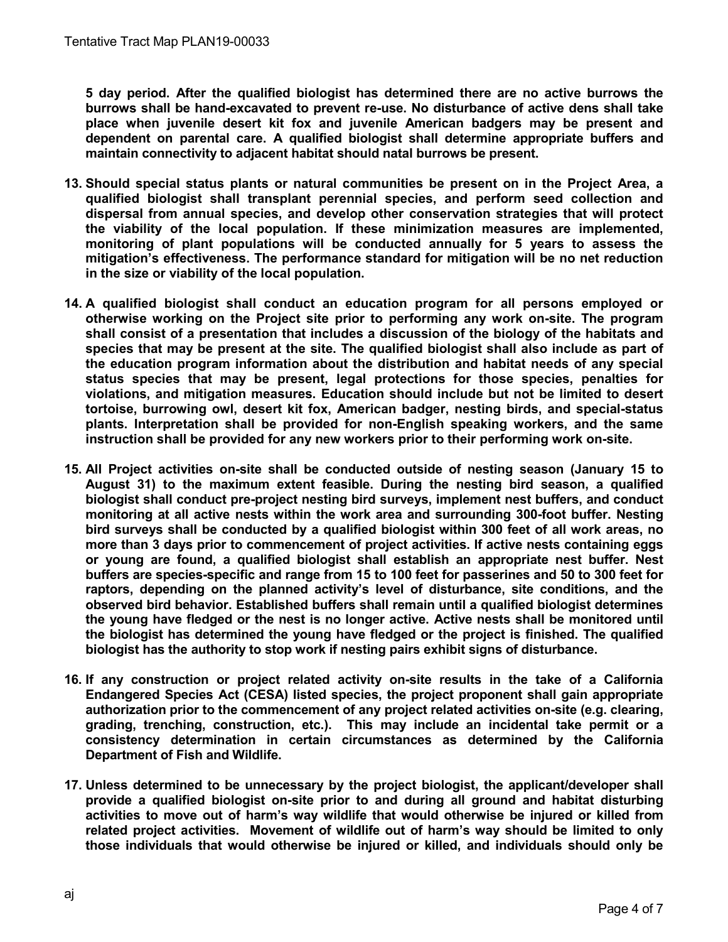**5 day period. After the qualified biologist has determined there are no active burrows the burrows shall be hand-excavated to prevent re-use. No disturbance of active dens shall take place when juvenile desert kit fox and juvenile American badgers may be present and dependent on parental care. A qualified biologist shall determine appropriate buffers and maintain connectivity to adjacent habitat should natal burrows be present.** 

- **13. Should special status plants or natural communities be present on in the Project Area, a qualified biologist shall transplant perennial species, and perform seed collection and dispersal from annual species, and develop other conservation strategies that will protect the viability of the local population. If these minimization measures are implemented, monitoring of plant populations will be conducted annually for 5 years to assess the mitigation's effectiveness. The performance standard for mitigation will be no net reduction in the size or viability of the local population.**
- **14. A qualified biologist shall conduct an education program for all persons employed or otherwise working on the Project site prior to performing any work on-site. The program shall consist of a presentation that includes a discussion of the biology of the habitats and species that may be present at the site. The qualified biologist shall also include as part of the education program information about the distribution and habitat needs of any special status species that may be present, legal protections for those species, penalties for violations, and mitigation measures. Education should include but not be limited to desert tortoise, burrowing owl, desert kit fox, American badger, nesting birds, and special-status plants. Interpretation shall be provided for non-English speaking workers, and the same instruction shall be provided for any new workers prior to their performing work on-site.**
- **15. All Project activities on-site shall be conducted outside of nesting season (January 15 to August 31) to the maximum extent feasible. During the nesting bird season, a qualified biologist shall conduct pre-project nesting bird surveys, implement nest buffers, and conduct monitoring at all active nests within the work area and surrounding 300-foot buffer. Nesting bird surveys shall be conducted by a qualified biologist within 300 feet of all work areas, no more than 3 days prior to commencement of project activities. If active nests containing eggs or young are found, a qualified biologist shall establish an appropriate nest buffer. Nest buffers are species-specific and range from 15 to 100 feet for passerines and 50 to 300 feet for raptors, depending on the planned activity's level of disturbance, site conditions, and the observed bird behavior. Established buffers shall remain until a qualified biologist determines the young have fledged or the nest is no longer active. Active nests shall be monitored until the biologist has determined the young have fledged or the project is finished. The qualified biologist has the authority to stop work if nesting pairs exhibit signs of disturbance.**
- **16. If any construction or project related activity on-site results in the take of a California Endangered Species Act (CESA) listed species, the project proponent shall gain appropriate authorization prior to the commencement of any project related activities on-site (e.g. clearing, grading, trenching, construction, etc.). This may include an incidental take permit or a consistency determination in certain circumstances as determined by the California Department of Fish and Wildlife.**
- **17. Unless determined to be unnecessary by the project biologist, the applicant/developer shall provide a qualified biologist on-site prior to and during all ground and habitat disturbing activities to move out of harm's way wildlife that would otherwise be injured or killed from related project activities. Movement of wildlife out of harm's way should be limited to only those individuals that would otherwise be injured or killed, and individuals should only be**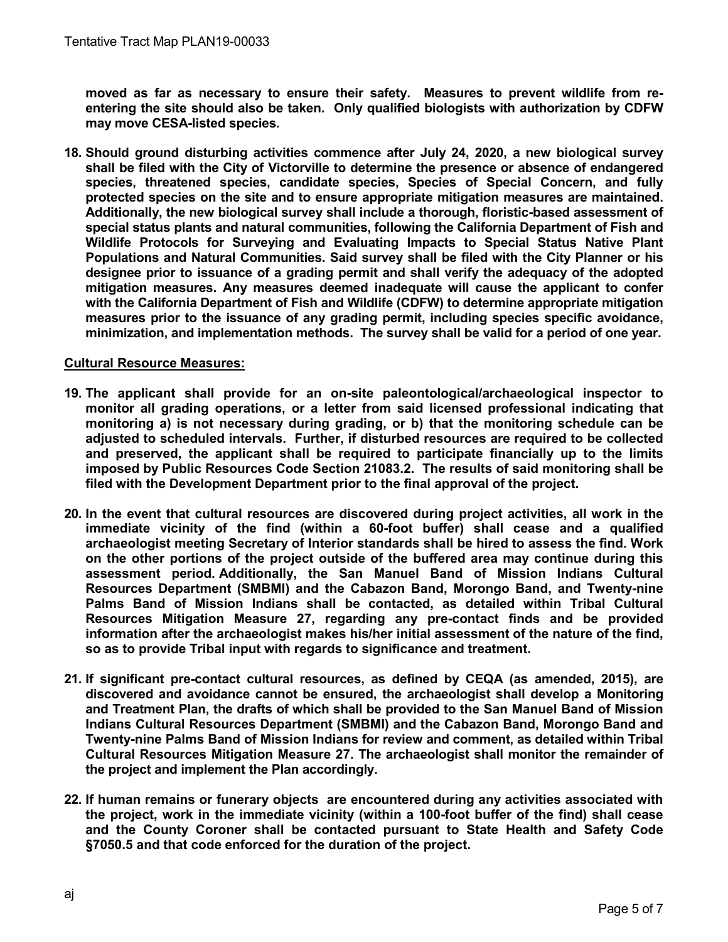**moved as far as necessary to ensure their safety. Measures to prevent wildlife from reentering the site should also be taken. Only qualified biologists with authorization by CDFW may move CESA-listed species.** 

**18. Should ground disturbing activities commence after July 24, 2020, a new biological survey shall be filed with the City of Victorville to determine the presence or absence of endangered species, threatened species, candidate species, Species of Special Concern, and fully protected species on the site and to ensure appropriate mitigation measures are maintained. Additionally, the new biological survey shall include a thorough, floristic-based assessment of special status plants and natural communities, following the California Department of Fish and Wildlife Protocols for Surveying and Evaluating Impacts to Special Status Native Plant Populations and Natural Communities. Said survey shall be filed with the City Planner or his designee prior to issuance of a grading permit and shall verify the adequacy of the adopted mitigation measures. Any measures deemed inadequate will cause the applicant to confer with the California Department of Fish and Wildlife (CDFW) to determine appropriate mitigation measures prior to the issuance of any grading permit, including species specific avoidance, minimization, and implementation methods. The survey shall be valid for a period of one year.**

# **Cultural Resource Measures:**

- **19. The applicant shall provide for an on-site paleontological/archaeological inspector to monitor all grading operations, or a letter from said licensed professional indicating that monitoring a) is not necessary during grading, or b) that the monitoring schedule can be adjusted to scheduled intervals. Further, if disturbed resources are required to be collected and preserved, the applicant shall be required to participate financially up to the limits imposed by Public Resources Code Section 21083.2. The results of said monitoring shall be filed with the Development Department prior to the final approval of the project.**
- **20. In the event that cultural resources are discovered during project activities, all work in the immediate vicinity of the find (within a 60-foot buffer) shall cease and a qualified archaeologist meeting Secretary of Interior standards shall be hired to assess the find. Work on the other portions of the project outside of the buffered area may continue during this assessment period. Additionally, the San Manuel Band of Mission Indians Cultural Resources Department (SMBMI) and the Cabazon Band, Morongo Band, and Twenty-nine Palms Band of Mission Indians shall be contacted, as detailed within Tribal Cultural Resources Mitigation Measure 27, regarding any pre-contact finds and be provided information after the archaeologist makes his/her initial assessment of the nature of the find, so as to provide Tribal input with regards to significance and treatment.**
- **21. If significant pre-contact cultural resources, as defined by CEQA (as amended, 2015), are discovered and avoidance cannot be ensured, the archaeologist shall develop a Monitoring and Treatment Plan, the drafts of which shall be provided to the San Manuel Band of Mission Indians Cultural Resources Department (SMBMI) and the Cabazon Band, Morongo Band and Twenty-nine Palms Band of Mission Indians for review and comment, as detailed within Tribal Cultural Resources Mitigation Measure 27. The archaeologist shall monitor the remainder of the project and implement the Plan accordingly.**
- **22. If human remains or funerary objects are encountered during any activities associated with the project, work in the immediate vicinity (within a 100-foot buffer of the find) shall cease and the County Coroner shall be contacted pursuant to State Health and Safety Code §7050.5 and that code enforced for the duration of the project.**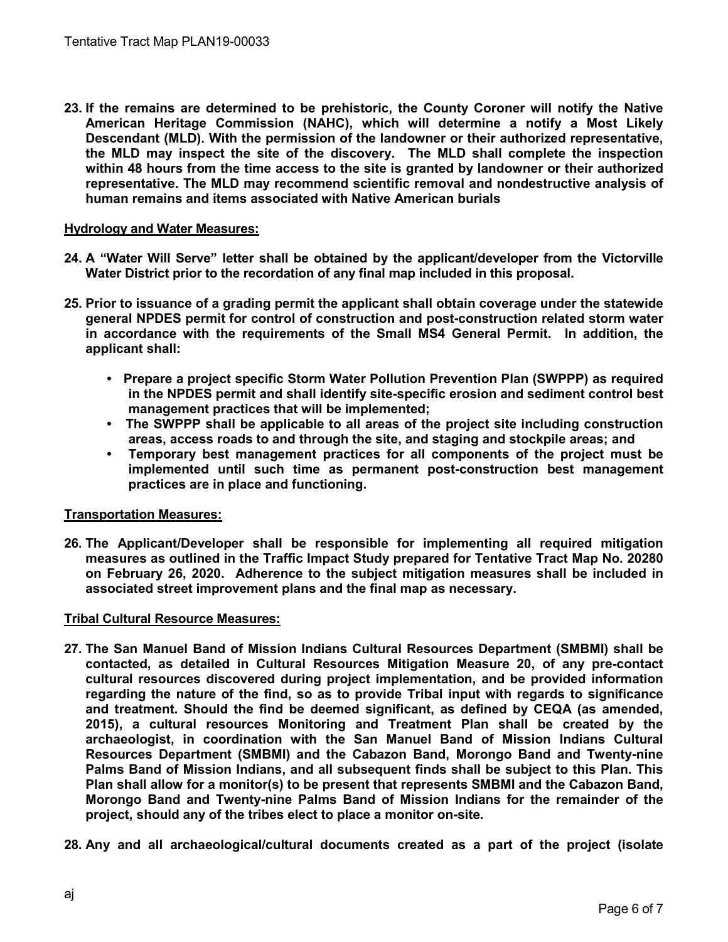**23. If the remains are determined to be prehistoric, the County Coroner will notify the Native American Heritage Commission (NAHC), which will determine a notify a Most Likely Descendant (MLD). With the permission of the landowner or their authorized representative, the MLD may inspect the site of the discovery. The MLD shall complete the inspection within 48 hours from the time access to the site is granted by landowner or their authorized representative. The MLD may recommend scientific removal and nondestructive analysis of human remains and items associated with Native American burials** 

## **Hydrology and Water Measures:**

- **24. A "Water Will Serve" letter shall be obtained by the applicant/developer from the Victorville Water District prior to the recordation of any final map included in this proposal.**
- **25. Prior to issuance of a grading permit the applicant shall obtain coverage under the statewide general NPDES permit for control of construction and post-construction related storm water in accordance with the requirements of the Small MS4 General Permit. In addition, the applicant shall:** 
	- **Prepare a project specific Storm Water Pollution Prevention Plan (SWPPP) as required in the NPDES permit and shall identify site-specific erosion and sediment control best management practices that will be implemented;**
	- **The SWPPP shall be applicable to all areas of the project site including construction areas, access roads to and through the site, and staging and stockpile areas; and**
	- **Temporary best management practices for all components of the project must be implemented until such time as permanent post-construction best management practices are in place and functioning.**

### **Transportation Measures:**

**26. The Applicant/Developer shall be responsible for implementing all required mitigation measures as outlined in the Traffic Impact Study prepared for Tentative Tract Map No. 20280 on February 26, 2020. Adherence to the subject mitigation measures shall be included in associated street improvement plans and the final map as necessary.** 

### **Tribal Cultural Resource Measures:**

- **27. The San Manuel Band of Mission Indians Cultural Resources Department (SMBMI) shall be contacted, as detailed in Cultural Resources Mitigation Measure 20, of any pre-contact cultural resources discovered during project implementation, and be provided information regarding the nature of the find, so as to provide Tribal input with regards to significance and treatment. Should the find be deemed significant, as defined by CEQA (as amended, 2015), a cultural resources Monitoring and Treatment Plan shall be created by the archaeologist, in coordination with the San Manuel Band of Mission Indians Cultural Resources Department (SMBMI) and the Cabazon Band, Morongo Band and Twenty-nine Palms Band of Mission Indians, and all subsequent finds shall be subject to this Plan. This Plan shall allow for a monitor(s) to be present that represents SMBMI and the Cabazon Band, Morongo Band and Twenty-nine Palms Band of Mission Indians for the remainder of the project, should any of the tribes elect to place a monitor on-site.**
- **28. Any and all archaeological/cultural documents created as a part of the project (isolate**